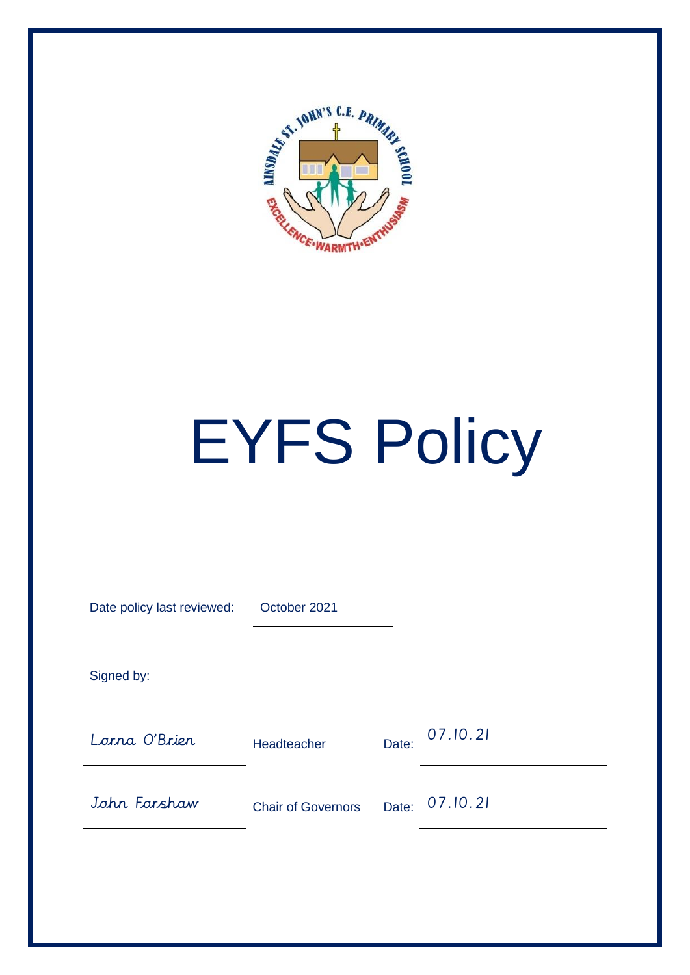

# EYFS Policy

| Date policy last reviewed: | October 2021              |       |          |
|----------------------------|---------------------------|-------|----------|
| Signed by:                 |                           |       |          |
| Lorna O'Brien              | Headteacher               | Date: | 07.10.21 |
| John Forshaw               | <b>Chair of Governors</b> | Date: | 07.10.21 |
|                            |                           |       |          |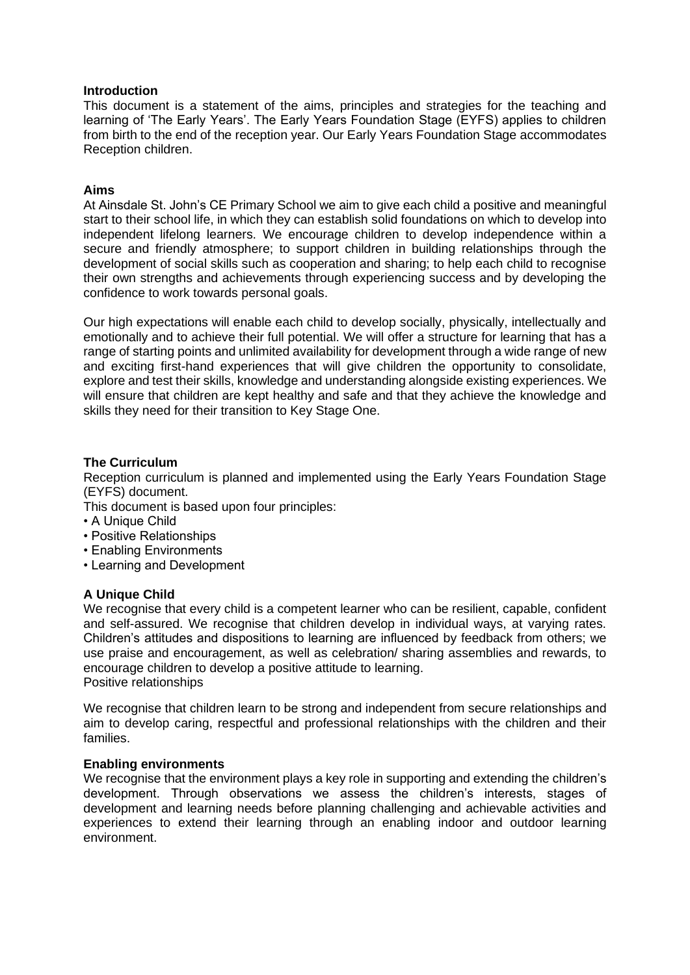#### **Introduction**

This document is a statement of the aims, principles and strategies for the teaching and learning of 'The Early Years'. The Early Years Foundation Stage (EYFS) applies to children from birth to the end of the reception year. Our Early Years Foundation Stage accommodates Reception children.

# **Aims**

At Ainsdale St. John's CE Primary School we aim to give each child a positive and meaningful start to their school life, in which they can establish solid foundations on which to develop into independent lifelong learners. We encourage children to develop independence within a secure and friendly atmosphere; to support children in building relationships through the development of social skills such as cooperation and sharing; to help each child to recognise their own strengths and achievements through experiencing success and by developing the confidence to work towards personal goals.

Our high expectations will enable each child to develop socially, physically, intellectually and emotionally and to achieve their full potential. We will offer a structure for learning that has a range of starting points and unlimited availability for development through a wide range of new and exciting first-hand experiences that will give children the opportunity to consolidate, explore and test their skills, knowledge and understanding alongside existing experiences. We will ensure that children are kept healthy and safe and that they achieve the knowledge and skills they need for their transition to Key Stage One.

# **The Curriculum**

Reception curriculum is planned and implemented using the Early Years Foundation Stage (EYFS) document.

- This document is based upon four principles:
- A Unique Child
- Positive Relationships
- Enabling Environments
- Learning and Development

# **A Unique Child**

We recognise that every child is a competent learner who can be resilient, capable, confident and self-assured. We recognise that children develop in individual ways, at varying rates. Children's attitudes and dispositions to learning are influenced by feedback from others; we use praise and encouragement, as well as celebration/ sharing assemblies and rewards, to encourage children to develop a positive attitude to learning. Positive relationships

We recognise that children learn to be strong and independent from secure relationships and aim to develop caring, respectful and professional relationships with the children and their families.

#### **Enabling environments**

We recognise that the environment plays a key role in supporting and extending the children's development. Through observations we assess the children's interests, stages of development and learning needs before planning challenging and achievable activities and experiences to extend their learning through an enabling indoor and outdoor learning environment.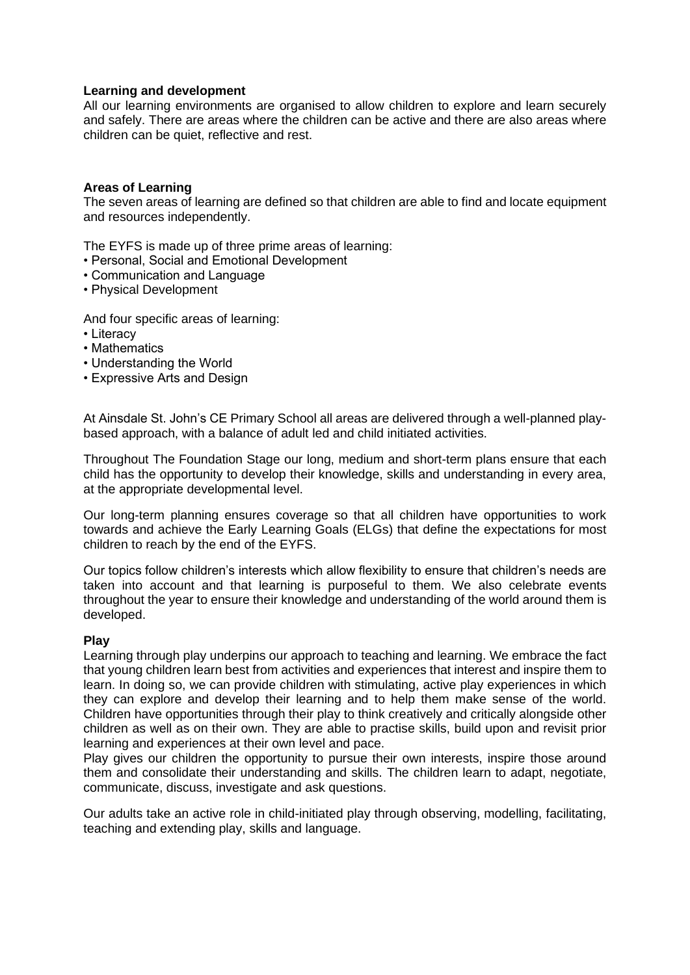# **Learning and development**

All our learning environments are organised to allow children to explore and learn securely and safely. There are areas where the children can be active and there are also areas where children can be quiet, reflective and rest.

# **Areas of Learning**

The seven areas of learning are defined so that children are able to find and locate equipment and resources independently.

The EYFS is made up of three prime areas of learning:

- Personal, Social and Emotional Development
- Communication and Language
- Physical Development

And four specific areas of learning:

- Literacy
- Mathematics
- Understanding the World
- Expressive Arts and Design

At Ainsdale St. John's CE Primary School all areas are delivered through a well-planned playbased approach, with a balance of adult led and child initiated activities.

Throughout The Foundation Stage our long, medium and short-term plans ensure that each child has the opportunity to develop their knowledge, skills and understanding in every area, at the appropriate developmental level.

Our long-term planning ensures coverage so that all children have opportunities to work towards and achieve the Early Learning Goals (ELGs) that define the expectations for most children to reach by the end of the EYFS.

Our topics follow children's interests which allow flexibility to ensure that children's needs are taken into account and that learning is purposeful to them. We also celebrate events throughout the year to ensure their knowledge and understanding of the world around them is developed.

#### **Play**

Learning through play underpins our approach to teaching and learning. We embrace the fact that young children learn best from activities and experiences that interest and inspire them to learn. In doing so, we can provide children with stimulating, active play experiences in which they can explore and develop their learning and to help them make sense of the world. Children have opportunities through their play to think creatively and critically alongside other children as well as on their own. They are able to practise skills, build upon and revisit prior learning and experiences at their own level and pace.

Play gives our children the opportunity to pursue their own interests, inspire those around them and consolidate their understanding and skills. The children learn to adapt, negotiate, communicate, discuss, investigate and ask questions.

Our adults take an active role in child-initiated play through observing, modelling, facilitating, teaching and extending play, skills and language.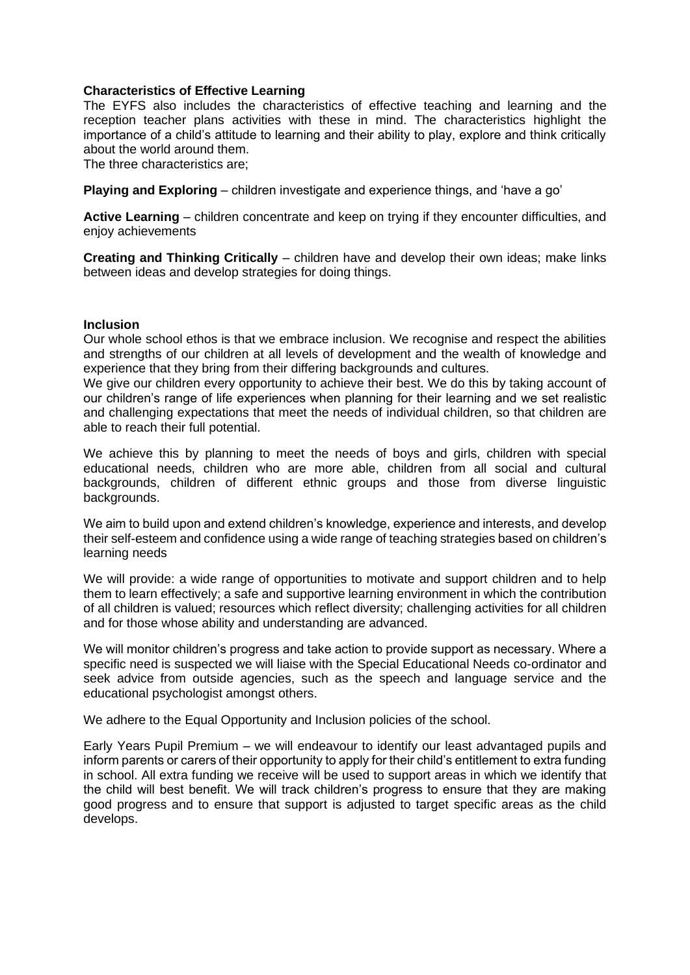#### **Characteristics of Effective Learning**

The EYFS also includes the characteristics of effective teaching and learning and the reception teacher plans activities with these in mind. The characteristics highlight the importance of a child's attitude to learning and their ability to play, explore and think critically about the world around them.

The three characteristics are;

**Playing and Exploring** – children investigate and experience things, and 'have a go'

**Active Learning** – children concentrate and keep on trying if they encounter difficulties, and enjoy achievements

**Creating and Thinking Critically** – children have and develop their own ideas; make links between ideas and develop strategies for doing things.

#### **Inclusion**

Our whole school ethos is that we embrace inclusion. We recognise and respect the abilities and strengths of our children at all levels of development and the wealth of knowledge and experience that they bring from their differing backgrounds and cultures.

We give our children every opportunity to achieve their best. We do this by taking account of our children's range of life experiences when planning for their learning and we set realistic and challenging expectations that meet the needs of individual children, so that children are able to reach their full potential.

We achieve this by planning to meet the needs of boys and girls, children with special educational needs, children who are more able, children from all social and cultural backgrounds, children of different ethnic groups and those from diverse linguistic backgrounds.

We aim to build upon and extend children's knowledge, experience and interests, and develop their self-esteem and confidence using a wide range of teaching strategies based on children's learning needs

We will provide: a wide range of opportunities to motivate and support children and to help them to learn effectively; a safe and supportive learning environment in which the contribution of all children is valued; resources which reflect diversity; challenging activities for all children and for those whose ability and understanding are advanced.

We will monitor children's progress and take action to provide support as necessary. Where a specific need is suspected we will liaise with the Special Educational Needs co-ordinator and seek advice from outside agencies, such as the speech and language service and the educational psychologist amongst others.

We adhere to the Equal Opportunity and Inclusion policies of the school.

Early Years Pupil Premium – we will endeavour to identify our least advantaged pupils and inform parents or carers of their opportunity to apply for their child's entitlement to extra funding in school. All extra funding we receive will be used to support areas in which we identify that the child will best benefit. We will track children's progress to ensure that they are making good progress and to ensure that support is adjusted to target specific areas as the child develops.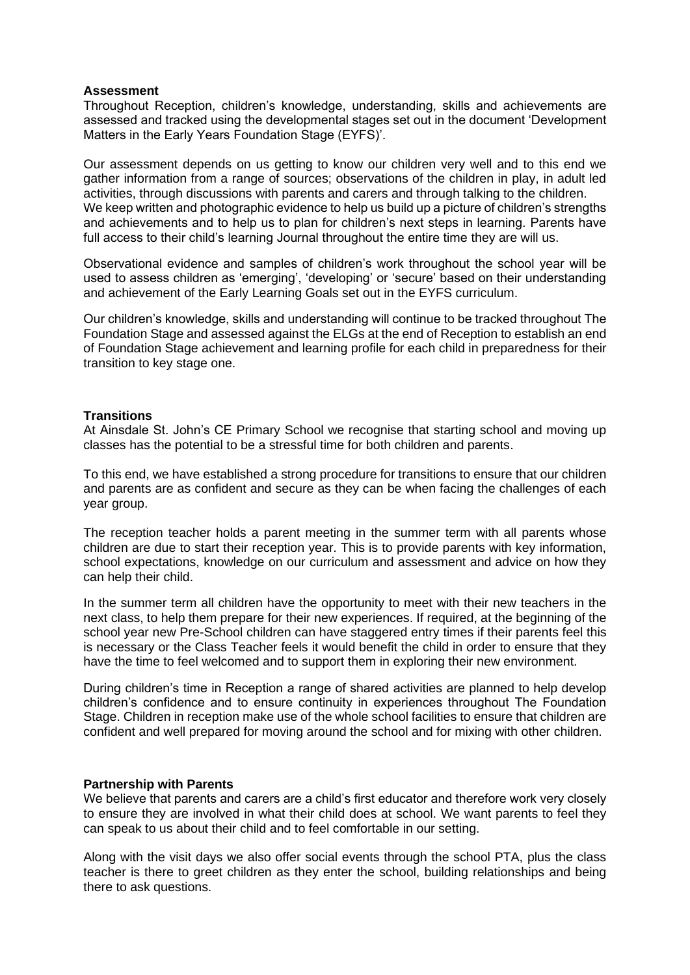#### **Assessment**

Throughout Reception, children's knowledge, understanding, skills and achievements are assessed and tracked using the developmental stages set out in the document 'Development Matters in the Early Years Foundation Stage (EYFS)'.

Our assessment depends on us getting to know our children very well and to this end we gather information from a range of sources; observations of the children in play, in adult led activities, through discussions with parents and carers and through talking to the children. We keep written and photographic evidence to help us build up a picture of children's strengths and achievements and to help us to plan for children's next steps in learning. Parents have full access to their child's learning Journal throughout the entire time they are will us.

Observational evidence and samples of children's work throughout the school year will be used to assess children as 'emerging', 'developing' or 'secure' based on their understanding and achievement of the Early Learning Goals set out in the EYFS curriculum.

Our children's knowledge, skills and understanding will continue to be tracked throughout The Foundation Stage and assessed against the ELGs at the end of Reception to establish an end of Foundation Stage achievement and learning profile for each child in preparedness for their transition to key stage one.

# **Transitions**

At Ainsdale St. John's CE Primary School we recognise that starting school and moving up classes has the potential to be a stressful time for both children and parents.

To this end, we have established a strong procedure for transitions to ensure that our children and parents are as confident and secure as they can be when facing the challenges of each year group.

The reception teacher holds a parent meeting in the summer term with all parents whose children are due to start their reception year. This is to provide parents with key information, school expectations, knowledge on our curriculum and assessment and advice on how they can help their child.

In the summer term all children have the opportunity to meet with their new teachers in the next class, to help them prepare for their new experiences. If required, at the beginning of the school year new Pre-School children can have staggered entry times if their parents feel this is necessary or the Class Teacher feels it would benefit the child in order to ensure that they have the time to feel welcomed and to support them in exploring their new environment.

During children's time in Reception a range of shared activities are planned to help develop children's confidence and to ensure continuity in experiences throughout The Foundation Stage. Children in reception make use of the whole school facilities to ensure that children are confident and well prepared for moving around the school and for mixing with other children.

#### **Partnership with Parents**

We believe that parents and carers are a child's first educator and therefore work very closely to ensure they are involved in what their child does at school. We want parents to feel they can speak to us about their child and to feel comfortable in our setting.

Along with the visit days we also offer social events through the school PTA, plus the class teacher is there to greet children as they enter the school, building relationships and being there to ask questions.